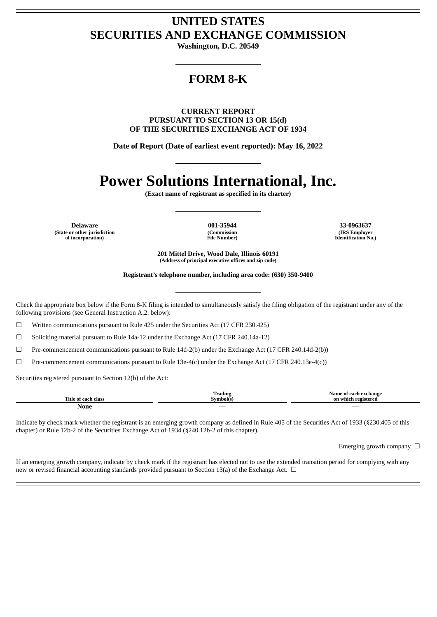# **UNITED STATES SECURITIES AND EXCHANGE COMMISSION**

**Washington, D.C. 20549**

## **FORM 8-K**

**CURRENT REPORT PURSUANT TO SECTION 13 OR 15(d) OF THE SECURITIES EXCHANGE ACT OF 1934**

**Date of Report (Date of earliest event reported): May 16, 2022**

# **Power Solutions International, Inc.**

**(Exact name of registrant as specified in its charter)**

**Delaware 001-35944 33-0963637 (State or other jurisdiction of incorporation)**

**(Commission File Number)**

**(IRS Employer Identification No.)**

**201 Mittel Drive, Wood Dale, Illinois 60191 (Address of principal executive offices and zip code)**

**Registrant's telephone number, including area code: (630) 350-9400**

Check the appropriate box below if the Form 8-K filing is intended to simultaneously satisfy the filing obligation of the registrant under any of the following provisions (see General Instruction A.2. below):

☐ Written communications pursuant to Rule 425 under the Securities Act (17 CFR 230.425)

 $\Box$  Soliciting material pursuant to Rule 14a-12 under the Exchange Act (17 CFR 240.14a-12)

☐ Pre-commencement communications pursuant to Rule 14d-2(b) under the Exchange Act (17 CFR 240.14d-2(b))

 $\Box$  Pre-commencement communications pursuant to Rule 13e-4(c) under the Exchange Act (17 CFR 240.13e-4(c))

Securities registered pursuant to Section 12(b) of the Act:

| Title .<br>olace <sub>r</sub> | m<br><b>Trading</b><br>™mbol(s∟ | Nam<br>ang<br><b>Participate of the Second Second</b><br>Λn |
|-------------------------------|---------------------------------|-------------------------------------------------------------|
| None                          | $\overline{\phantom{a}}$        |                                                             |

Indicate by check mark whether the registrant is an emerging growth company as defined in Rule 405 of the Securities Act of 1933 (§230.405 of this chapter) or Rule 12b-2 of the Securities Exchange Act of 1934 (§240.12b-2 of this chapter).

Emerging growth company  $\Box$ 

If an emerging growth company, indicate by check mark if the registrant has elected not to use the extended transition period for complying with any new or revised financial accounting standards provided pursuant to Section 13(a) of the Exchange Act.  $\Box$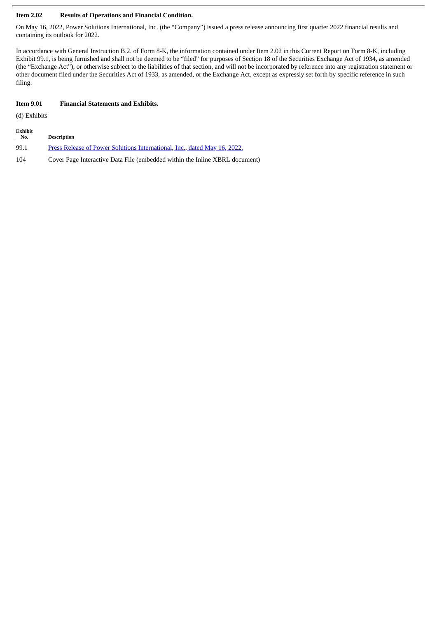#### **Item 2.02 Results of Operations and Financial Condition.**

On May 16, 2022, Power Solutions International, Inc. (the "Company") issued a press release announcing first quarter 2022 financial results and containing its outlook for 2022.

In accordance with General Instruction B.2. of Form 8-K, the information contained under Item 2.02 in this Current Report on Form 8-K, including Exhibit 99.1, is being furnished and shall not be deemed to be "filed" for purposes of Section 18 of the Securities Exchange Act of 1934, as amended (the "Exchange Act"), or otherwise subject to the liabilities of that section, and will not be incorporated by reference into any registration statement or other document filed under the Securities Act of 1933, as amended, or the Exchange Act, except as expressly set forth by specific reference in such filing.

#### **Item 9.01 Financial Statements and Exhibits.**

(d) Exhibits

| Exhibit<br>No. | <b>Description</b>                                                          |
|----------------|-----------------------------------------------------------------------------|
| 99.1           | Press Release of Power Solutions International, Inc., dated May 16, 2022.   |
| 104            | Cover Page Interactive Data File (embedded within the Inline XBRL document) |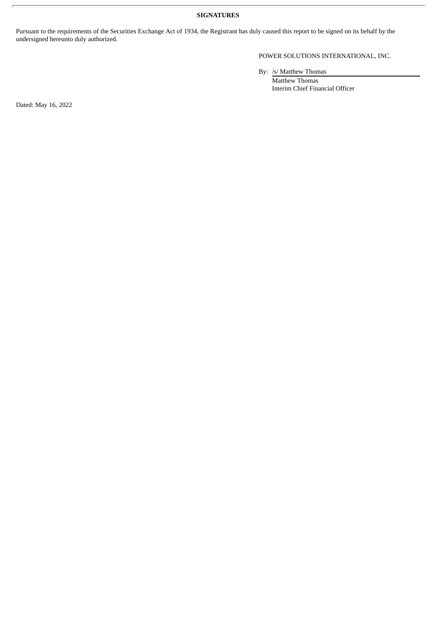**SIGNATURES**

Pursuant to the requirements of the Securities Exchange Act of 1934, the Registrant has duly caused this report to be signed on its behalf by the undersigned hereunto duly authorized.

POWER SOLUTIONS INTERNATIONAL, INC.

By: /s/ Matthew Thomas

Matthew Thomas Interim Chief Financial Officer

Dated: May 16, 2022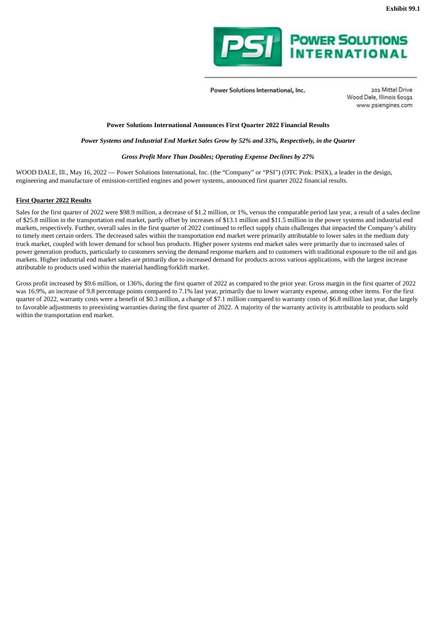

Power Solutions International, Inc.

201 Mittel Drive Wood Dale, Illinois 60191 www.psiengines.com

#### <span id="page-3-0"></span>**Power Solutions International Announces First Quarter 2022 Financial Results**

#### *Power Systems and Industrial End Market Sales Grow by 52% and 33%, Respectively, in the Quarter*

#### *Gross Profit More Than Doubles; Operating Expense Declines by 27%*

WOOD DALE, Ill., May 16, 2022 — Power Solutions International, Inc. (the "Company" or "PSI") (OTC Pink: PSIX), a leader in the design, engineering and manufacture of emission-certified engines and power systems, announced first quarter 2022 financial results.

#### **First Quarter 2022 Results**

Sales for the first quarter of 2022 were \$98.9 million, a decrease of \$1.2 million, or 1%, versus the comparable period last year, a result of a sales decline of \$25.8 million in the transportation end market, partly offset by increases of \$13.1 million and \$11.5 million in the power systems and industrial end markets, respectively. Further, overall sales in the first quarter of 2022 continued to reflect supply chain challenges that impacted the Company's ability to timely meet certain orders. The decreased sales within the transportation end market were primarily attributable to lower sales in the medium duty truck market, coupled with lower demand for school bus products. Higher power systems end market sales were primarily due to increased sales of power generation products, particularly to customers serving the demand response markets and to customers with traditional exposure to the oil and gas markets. Higher industrial end market sales are primarily due to increased demand for products across various applications, with the largest increase attributable to products used within the material handling/forklift market.

Gross profit increased by \$9.6 million, or 136%, during the first quarter of 2022 as compared to the prior year. Gross margin in the first quarter of 2022 was 16.9%, an increase of 9.8 percentage points compared to 7.1% last year, primarily due to lower warranty expense, among other items. For the first quarter of 2022, warranty costs were a benefit of \$0.3 million, a change of \$7.1 million compared to warranty costs of \$6.8 million last year, due largely to favorable adjustments to preexisting warranties during the first quarter of 2022. A majority of the warranty activity is attributable to products sold within the transportation end market.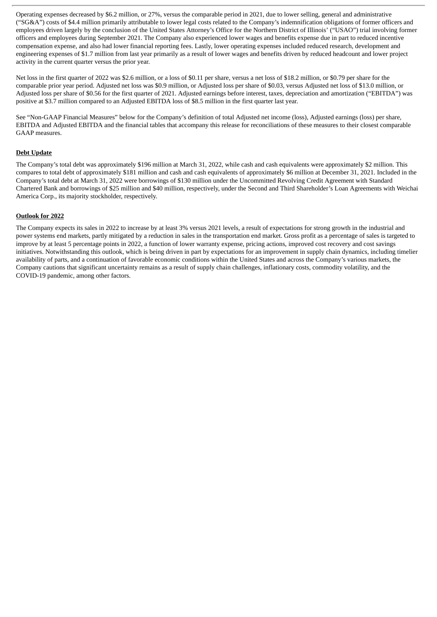Operating expenses decreased by \$6.2 million, or 27%, versus the comparable period in 2021, due to lower selling, general and administrative ("SG&A") costs of \$4.4 million primarily attributable to lower legal costs related to the Company's indemnification obligations of former officers and employees driven largely by the conclusion of the United States Attorney's Office for the Northern District of Illinois' ("USAO") trial involving former officers and employees during September 2021. The Company also experienced lower wages and benefits expense due in part to reduced incentive compensation expense, and also had lower financial reporting fees. Lastly, lower operating expenses included reduced research, development and engineering expenses of \$1.7 million from last year primarily as a result of lower wages and benefits driven by reduced headcount and lower project activity in the current quarter versus the prior year.

Net loss in the first quarter of 2022 was \$2.6 million, or a loss of \$0.11 per share, versus a net loss of \$18.2 million, or \$0.79 per share for the comparable prior year period. Adjusted net loss was \$0.9 million, or Adjusted loss per share of \$0.03, versus Adjusted net loss of \$13.0 million, or Adjusted loss per share of \$0.56 for the first quarter of 2021. Adjusted earnings before interest, taxes, depreciation and amortization ("EBITDA") was positive at \$3.7 million compared to an Adjusted EBITDA loss of \$8.5 million in the first quarter last year.

See "Non-GAAP Financial Measures" below for the Company's definition of total Adjusted net income (loss), Adjusted earnings (loss) per share, EBITDA and Adjusted EBITDA and the financial tables that accompany this release for reconciliations of these measures to their closest comparable GAAP measures.

#### **Debt Update**

The Company's total debt was approximately \$196 million at March 31, 2022, while cash and cash equivalents were approximately \$2 million. This compares to total debt of approximately \$181 million and cash and cash equivalents of approximately \$6 million at December 31, 2021. Included in the Company's total debt at March 31, 2022 were borrowings of \$130 million under the Uncommitted Revolving Credit Agreement with Standard Chartered Bank and borrowings of \$25 million and \$40 million, respectively, under the Second and Third Shareholder's Loan Agreements with Weichai America Corp., its majority stockholder, respectively.

#### **Outlook for 2022**

The Company expects its sales in 2022 to increase by at least 3% versus 2021 levels, a result of expectations for strong growth in the industrial and power systems end markets, partly mitigated by a reduction in sales in the transportation end market. Gross profit as a percentage of sales is targeted to improve by at least 5 percentage points in 2022, a function of lower warranty expense, pricing actions, improved cost recovery and cost savings initiatives. Notwithstanding this outlook, which is being driven in part by expectations for an improvement in supply chain dynamics, including timelier availability of parts, and a continuation of favorable economic conditions within the United States and across the Company's various markets, the Company cautions that significant uncertainty remains as a result of supply chain challenges, inflationary costs, commodity volatility, and the COVID-19 pandemic, among other factors.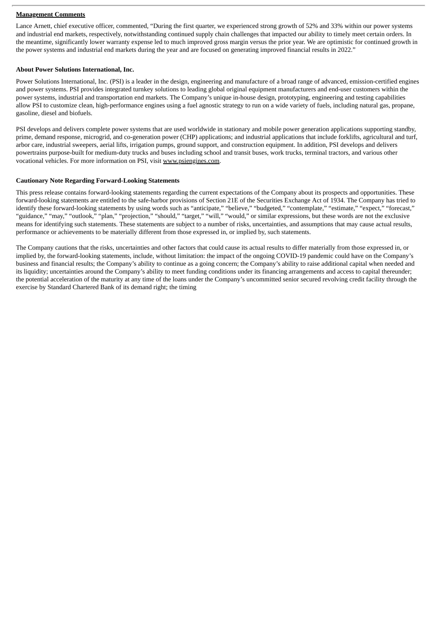#### **Management Comments**

Lance Arnett, chief executive officer, commented, "During the first quarter, we experienced strong growth of 52% and 33% within our power systems and industrial end markets, respectively, notwithstanding continued supply chain challenges that impacted our ability to timely meet certain orders. In the meantime, significantly lower warranty expense led to much improved gross margin versus the prior year. We are optimistic for continued growth in the power systems and industrial end markets during the year and are focused on generating improved financial results in 2022."

#### **About Power Solutions International, Inc.**

Power Solutions International, Inc. (PSI) is a leader in the design, engineering and manufacture of a broad range of advanced, emission-certified engines and power systems. PSI provides integrated turnkey solutions to leading global original equipment manufacturers and end-user customers within the power systems, industrial and transportation end markets. The Company's unique in-house design, prototyping, engineering and testing capabilities allow PSI to customize clean, high-performance engines using a fuel agnostic strategy to run on a wide variety of fuels, including natural gas, propane, gasoline, diesel and biofuels.

PSI develops and delivers complete power systems that are used worldwide in stationary and mobile power generation applications supporting standby, prime, demand response, microgrid, and co-generation power (CHP) applications; and industrial applications that include forklifts, agricultural and turf, arbor care, industrial sweepers, aerial lifts, irrigation pumps, ground support, and construction equipment. In addition, PSI develops and delivers powertrains purpose-built for medium-duty trucks and buses including school and transit buses, work trucks, terminal tractors, and various other vocational vehicles. For more information on PSI, visit www.psiengines.com.

#### **Cautionary Note Regarding Forward-Looking Statements**

This press release contains forward-looking statements regarding the current expectations of the Company about its prospects and opportunities. These forward-looking statements are entitled to the safe-harbor provisions of Section 21E of the Securities Exchange Act of 1934. The Company has tried to identify these forward-looking statements by using words such as "anticipate," "believe," "budgeted," "contemplate," "estimate," "expect," "forecast," "guidance," "may," "outlook," "plan," "projection," "should," "target," "will," "would," or similar expressions, but these words are not the exclusive means for identifying such statements. These statements are subject to a number of risks, uncertainties, and assumptions that may cause actual results, performance or achievements to be materially different from those expressed in, or implied by, such statements.

The Company cautions that the risks, uncertainties and other factors that could cause its actual results to differ materially from those expressed in, or implied by, the forward-looking statements, include, without limitation: the impact of the ongoing COVID-19 pandemic could have on the Company's business and financial results; the Company's ability to continue as a going concern; the Company's ability to raise additional capital when needed and its liquidity; uncertainties around the Company's ability to meet funding conditions under its financing arrangements and access to capital thereunder; the potential acceleration of the maturity at any time of the loans under the Company's uncommitted senior secured revolving credit facility through the exercise by Standard Chartered Bank of its demand right; the timing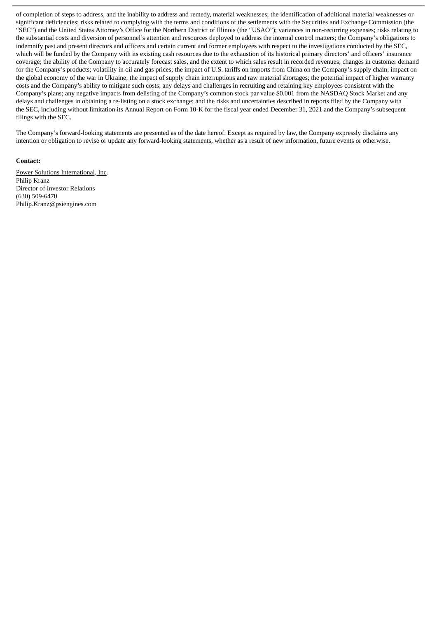of completion of steps to address, and the inability to address and remedy, material weaknesses; the identification of additional material weaknesses or significant deficiencies; risks related to complying with the terms and conditions of the settlements with the Securities and Exchange Commission (the "SEC") and the United States Attorney's Office for the Northern District of Illinois (the "USAO"); variances in non-recurring expenses; risks relating to the substantial costs and diversion of personnel's attention and resources deployed to address the internal control matters; the Company's obligations to indemnify past and present directors and officers and certain current and former employees with respect to the investigations conducted by the SEC, which will be funded by the Company with its existing cash resources due to the exhaustion of its historical primary directors' and officers' insurance coverage; the ability of the Company to accurately forecast sales, and the extent to which sales result in recorded revenues; changes in customer demand for the Company's products; volatility in oil and gas prices; the impact of U.S. tariffs on imports from China on the Company's supply chain; impact on the global economy of the war in Ukraine; the impact of supply chain interruptions and raw material shortages; the potential impact of higher warranty costs and the Company's ability to mitigate such costs; any delays and challenges in recruiting and retaining key employees consistent with the Company's plans; any negative impacts from delisting of the Company's common stock par value \$0.001 from the NASDAQ Stock Market and any delays and challenges in obtaining a re-listing on a stock exchange; and the risks and uncertainties described in reports filed by the Company with the SEC, including without limitation its Annual Report on Form 10-K for the fiscal year ended December 31, 2021 and the Company's subsequent filings with the SEC.

The Company's forward-looking statements are presented as of the date hereof. Except as required by law, the Company expressly disclaims any intention or obligation to revise or update any forward-looking statements, whether as a result of new information, future events or otherwise.

#### **Contact:**

Power Solutions International, Inc. Philip Kranz Director of Investor Relations (630) 509-6470 Philip.Kranz@psiengines.com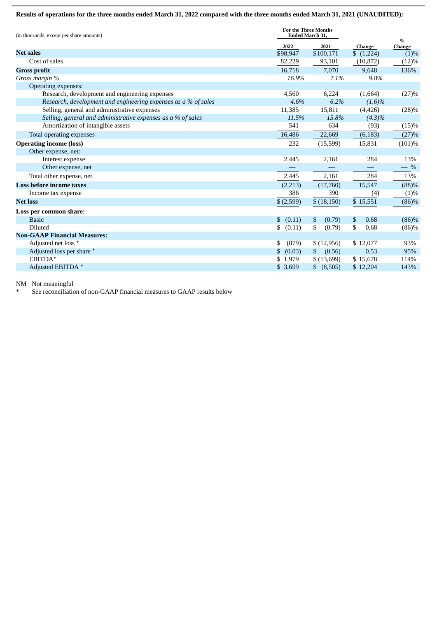#### Results of operations for the three months ended March 31, 2022 compared with the three months ended March 31, 2021 (UNAUDITED):

| (in thousands, except per share amounts)                       | <b>For the Three Months</b><br><b>Ended March 31,</b> |                   |                    |                       |
|----------------------------------------------------------------|-------------------------------------------------------|-------------------|--------------------|-----------------------|
|                                                                | 2022                                                  | 2021              | Change             | $\%$<br><b>Change</b> |
| <b>Net sales</b>                                               | \$98,947                                              | \$100,171         | $\sqrt{$}$ (1,224) | (1)%                  |
| Cost of sales                                                  | 82,229                                                | 93,101            | (10, 872)          | (12)%                 |
| <b>Gross profit</b>                                            | 16,718                                                | 7,070             | 9,648              | 136%                  |
| Gross margin %                                                 | 16.9%                                                 | 7.1%              | 9.8%               |                       |
| Operating expenses:                                            |                                                       |                   |                    |                       |
| Research, development and engineering expenses                 | 4,560                                                 | 6,224             | (1,664)            | (27)%                 |
| Research, development and engineering expenses as a % of sales | 4.6%                                                  | 6.2%              | $(1.6)\%$          |                       |
| Selling, general and administrative expenses                   | 11,385                                                | 15,811            | (4,426)            | (28)%                 |
| Selling, general and administrative expenses as a % of sales   | 11.5%                                                 | 15.8%             | $(4.3)\%$          |                       |
| Amortization of intangible assets                              | 541                                                   | 634               | (93)               | (15)%                 |
| Total operating expenses                                       | 16,486                                                | 22,669            | (6, 183)           | (27)%                 |
| <b>Operating income (loss)</b>                                 | 232                                                   | (15,599)          | 15,831             | (101)%                |
| Other expense, net:                                            |                                                       |                   |                    |                       |
| Interest expense                                               | 2,445                                                 | 2,161             | 284                | 13%                   |
| Other expense, net                                             |                                                       | $\qquad \qquad -$ |                    | $-$ %                 |
| Total other expense, net                                       | 2,445                                                 | 2,161             | 284                | 13%                   |
| <b>Loss before income taxes</b>                                | (2,213)                                               | (17,760)          | 15,547             | (88)%                 |
| Income tax expense                                             | 386                                                   | 390               | (4)                | (1)%                  |
| <b>Net loss</b>                                                | \$(2,599)                                             | \$(18,150)        | \$15,551           | $(86)$ %              |
| Loss per common share:                                         |                                                       |                   |                    |                       |
| <b>Basic</b>                                                   | \$ (0.11)                                             | \$<br>(0.79)      | \$<br>0.68         | (86)%                 |
| <b>Diluted</b>                                                 | \$<br>(0.11)                                          | \$<br>(0.79)      | \$<br>0.68         | (86)%                 |
| <b>Non-GAAP Financial Measures:</b>                            |                                                       |                   |                    |                       |
| Adjusted net loss *                                            | (879)<br>\$                                           | \$(12,956)        | \$12,077           | 93%                   |
| Adjusted loss per share *                                      | (0.03)<br>S                                           | (0.56)<br>\$      | 0.53               | 95%                   |
| EBITDA*                                                        | \$1,979                                               | \$(13,699)        | \$15,678           | 114%                  |
| Adjusted EBITDA *                                              | \$3,699                                               | \$ (8,505)        | \$12,204           | 143%                  |

NM Not meaningful

\* See reconciliation of non-GAAP financial measures to GAAP results below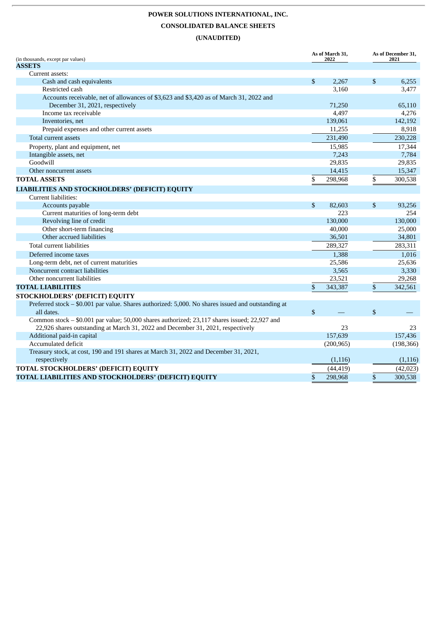## **POWER SOLUTIONS INTERNATIONAL, INC. CONSOLIDATED BALANCE SHEETS (UNAUDITED)**

| (in thousands, except par values)                                                                                         | As of March 31,<br>2022 |            | As of December 31,<br>2021 |  |
|---------------------------------------------------------------------------------------------------------------------------|-------------------------|------------|----------------------------|--|
| <b>ASSETS</b>                                                                                                             |                         |            |                            |  |
| Current assets:                                                                                                           |                         |            |                            |  |
| Cash and cash equivalents                                                                                                 | \$                      | 2,267      | \$<br>6.255                |  |
| Restricted cash                                                                                                           |                         | 3,160      | 3,477                      |  |
| Accounts receivable, net of allowances of \$3,623 and \$3,420 as of March 31, 2022 and<br>December 31, 2021, respectively |                         | 71,250     | 65,110                     |  |
| Income tax receivable                                                                                                     |                         | 4,497      | 4,276                      |  |
| Inventories, net                                                                                                          |                         | 139,061    | 142,192                    |  |
| Prepaid expenses and other current assets                                                                                 |                         | 11,255     | 8,918                      |  |
| Total current assets                                                                                                      |                         | 231,490    | 230,228                    |  |
| Property, plant and equipment, net                                                                                        |                         | 15,985     | 17,344                     |  |
| Intangible assets, net                                                                                                    |                         | 7,243      | 7,784                      |  |
| Goodwill                                                                                                                  |                         | 29,835     | 29,835                     |  |
| Other noncurrent assets                                                                                                   |                         | 14,415     | 15,347                     |  |
| <b>TOTAL ASSETS</b>                                                                                                       | \$                      | 298,968    | \$<br>300,538              |  |
| LIABILITIES AND STOCKHOLDERS' (DEFICIT) EQUITY                                                                            |                         |            |                            |  |
| Current liabilities:                                                                                                      |                         |            |                            |  |
| Accounts payable                                                                                                          | $\mathbb{S}$            | 82,603     | \$<br>93,256               |  |
| Current maturities of long-term debt                                                                                      |                         | 223        | 254                        |  |
| Revolving line of credit                                                                                                  |                         | 130,000    | 130,000                    |  |
| Other short-term financing                                                                                                |                         | 40,000     | 25,000                     |  |
| Other accrued liabilities                                                                                                 |                         | 36,501     | 34,801                     |  |
| Total current liabilities                                                                                                 |                         | 289,327    | 283,311                    |  |
| Deferred income taxes                                                                                                     |                         | 1,388      | 1,016                      |  |
| Long-term debt, net of current maturities                                                                                 |                         | 25,586     | 25,636                     |  |
| Noncurrent contract liabilities                                                                                           |                         | 3,565      | 3,330                      |  |
| Other noncurrent liabilities                                                                                              |                         | 23,521     | 29,268                     |  |
| <b>TOTAL LIABILITIES</b>                                                                                                  | \$                      | 343,387    | \$<br>342,561              |  |
| <b>STOCKHOLDERS' (DEFICIT) EQUITY</b>                                                                                     |                         |            |                            |  |
| Preferred stock - \$0.001 par value. Shares authorized: 5,000. No shares issued and outstanding at<br>all dates.          | \$                      |            | \$                         |  |
| Common stock - \$0.001 par value; 50,000 shares authorized; 23,117 shares issued; 22,927 and                              |                         |            |                            |  |
| 22,926 shares outstanding at March 31, 2022 and December 31, 2021, respectively                                           |                         | 23         | 23                         |  |
| Additional paid-in capital                                                                                                |                         | 157,639    | 157,436                    |  |
| Accumulated deficit                                                                                                       |                         | (200, 965) | (198, 366)                 |  |
| Treasury stock, at cost, 190 and 191 shares at March 31, 2022 and December 31, 2021,                                      |                         |            |                            |  |
| respectively                                                                                                              |                         | (1,116)    | (1,116)                    |  |
| TOTAL STOCKHOLDERS' (DEFICIT) EQUITY                                                                                      |                         | (44, 419)  | (42, 023)                  |  |
| TOTAL LIABILITIES AND STOCKHOLDERS' (DEFICIT) EQUITY                                                                      | \$                      | 298,968    | \$<br>300,538              |  |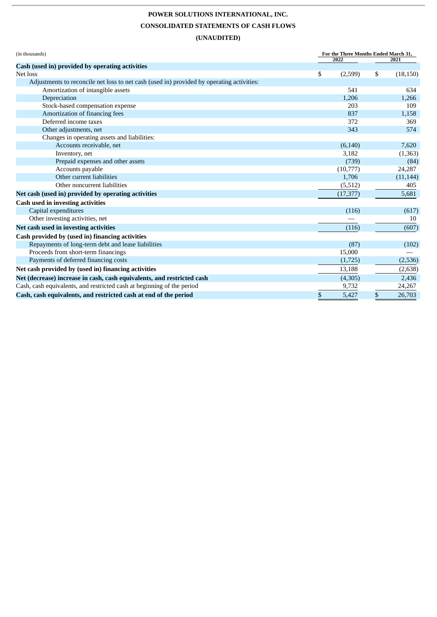## **POWER SOLUTIONS INTERNATIONAL, INC. CONSOLIDATED STATEMENTS OF CASH FLOWS (UNAUDITED)**

| (in thousands)                                                                            | For the Three Months Ended March 31, |           |    |           |
|-------------------------------------------------------------------------------------------|--------------------------------------|-----------|----|-----------|
| Cash (used in) provided by operating activities                                           |                                      | 2022      |    | 2021      |
| Net loss                                                                                  | \$                                   | (2,599)   | \$ | (18, 150) |
| Adjustments to reconcile net loss to net cash (used in) provided by operating activities: |                                      |           |    |           |
| Amortization of intangible assets                                                         |                                      | 541       |    | 634       |
| Depreciation                                                                              |                                      | 1,206     |    | 1,266     |
| Stock-based compensation expense                                                          |                                      | 203       |    | 109       |
| Amortization of financing fees                                                            |                                      | 837       |    | 1,158     |
| Deferred income taxes                                                                     |                                      | 372       |    | 369       |
| Other adjustments, net                                                                    |                                      | 343       |    | 574       |
| Changes in operating assets and liabilities:                                              |                                      |           |    |           |
| Accounts receivable, net                                                                  |                                      | (6, 140)  |    | 7,620     |
| Inventory, net                                                                            |                                      | 3,182     |    | (1, 363)  |
| Prepaid expenses and other assets                                                         |                                      | (739)     |    | (84)      |
| Accounts payable                                                                          |                                      | (10,777)  |    | 24,287    |
| Other current liabilities                                                                 |                                      | 1,706     |    | (11, 144) |
| Other noncurrent liabilities                                                              |                                      | (5, 512)  |    | 405       |
| Net cash (used in) provided by operating activities                                       |                                      | (17, 377) |    | 5,681     |
| Cash used in investing activities                                                         |                                      |           |    |           |
| Capital expenditures                                                                      |                                      | (116)     |    | (617)     |
| Other investing activities, net                                                           |                                      |           |    | 10        |
| Net cash used in investing activities                                                     |                                      | (116)     |    | (607)     |
| Cash provided by (used in) financing activities                                           |                                      |           |    |           |
| Repayments of long-term debt and lease liabilities                                        |                                      | (87)      |    | (102)     |
| Proceeds from short-term financings                                                       |                                      | 15,000    |    |           |
| Payments of deferred financing costs                                                      |                                      | (1,725)   |    | (2,536)   |
| Net cash provided by (used in) financing activities                                       |                                      | 13,188    |    | (2,638)   |
| Net (decrease) increase in cash, cash equivalents, and restricted cash                    |                                      | (4,305)   |    | 2,436     |
| Cash, cash equivalents, and restricted cash at beginning of the period                    |                                      | 9,732     |    | 24,267    |
| Cash, cash equivalents, and restricted cash at end of the period                          | \$                                   | 5,427     | \$ | 26,703    |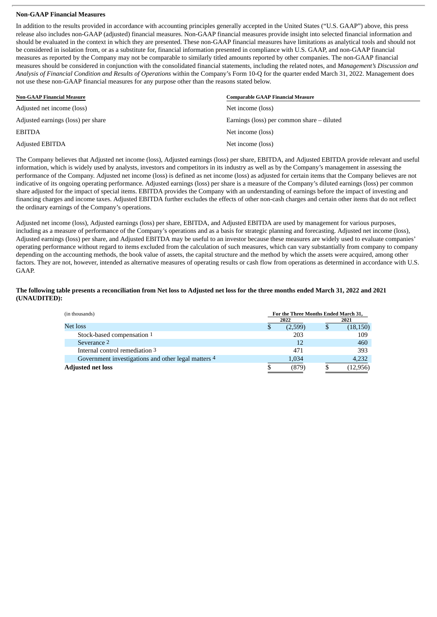#### **Non-GAAP Financial Measures**

In addition to the results provided in accordance with accounting principles generally accepted in the United States ("U.S. GAAP") above, this press release also includes non-GAAP (adjusted) financial measures. Non-GAAP financial measures provide insight into selected financial information and should be evaluated in the context in which they are presented. These non-GAAP financial measures have limitations as analytical tools and should not be considered in isolation from, or as a substitute for, financial information presented in compliance with U.S. GAAP, and non-GAAP financial measures as reported by the Company may not be comparable to similarly titled amounts reported by other companies. The non-GAAP financial measures should be considered in conjunction with the consolidated financial statements, including the related notes, and *Management's Discussion and Analysis of Financial Condition and Results of Operations* within the Company's Form 10-Q for the quarter ended March 31, 2022. Management does not use these non-GAAP financial measures for any purpose other than the reasons stated below.

| <b>Non-GAAP Financial Measure</b>  | <b>Comparable GAAP Financial Measure</b>     |  |
|------------------------------------|----------------------------------------------|--|
| Adjusted net income (loss)         | Net income (loss)                            |  |
| Adjusted earnings (loss) per share | Earnings (loss) per common share $-$ diluted |  |
| <b>EBITDA</b>                      | Net income (loss)                            |  |
| Adjusted EBITDA                    | Net income (loss)                            |  |

The Company believes that Adjusted net income (loss), Adjusted earnings (loss) per share, EBITDA, and Adjusted EBITDA provide relevant and useful information, which is widely used by analysts, investors and competitors in its industry as well as by the Company's management in assessing the performance of the Company. Adjusted net income (loss) is defined as net income (loss) as adjusted for certain items that the Company believes are not indicative of its ongoing operating performance. Adjusted earnings (loss) per share is a measure of the Company's diluted earnings (loss) per common share adjusted for the impact of special items. EBITDA provides the Company with an understanding of earnings before the impact of investing and financing charges and income taxes. Adjusted EBITDA further excludes the effects of other non-cash charges and certain other items that do not reflect the ordinary earnings of the Company's operations.

Adjusted net income (loss), Adjusted earnings (loss) per share, EBITDA, and Adjusted EBITDA are used by management for various purposes, including as a measure of performance of the Company's operations and as a basis for strategic planning and forecasting. Adjusted net income (loss), Adjusted earnings (loss) per share, and Adjusted EBITDA may be useful to an investor because these measures are widely used to evaluate companies' operating performance without regard to items excluded from the calculation of such measures, which can vary substantially from company to company depending on the accounting methods, the book value of assets, the capital structure and the method by which the assets were acquired, among other factors. They are not, however, intended as alternative measures of operating results or cash flow from operations as determined in accordance with U.S. GAAP.

#### The following table presents a reconciliation from Net loss to Adiusted net loss for the three months ended March 31, 2022 and 2021 **(UNAUDITED):**

| (in thousands)                                      | For the Three Months Ended March 31, |         |  |           |  |
|-----------------------------------------------------|--------------------------------------|---------|--|-----------|--|
|                                                     | 2022                                 |         |  | 2021      |  |
| Net loss                                            |                                      | (2,599) |  | (18, 150) |  |
| Stock-based compensation 1                          |                                      | 203     |  | 109       |  |
| Severance 2                                         |                                      | 12      |  | 460       |  |
| Internal control remediation 3                      |                                      | 471     |  | 393       |  |
| Government investigations and other legal matters 4 |                                      | 1,034   |  | 4,232     |  |
| <b>Adjusted net loss</b>                            |                                      | (879)   |  | (12, 956) |  |